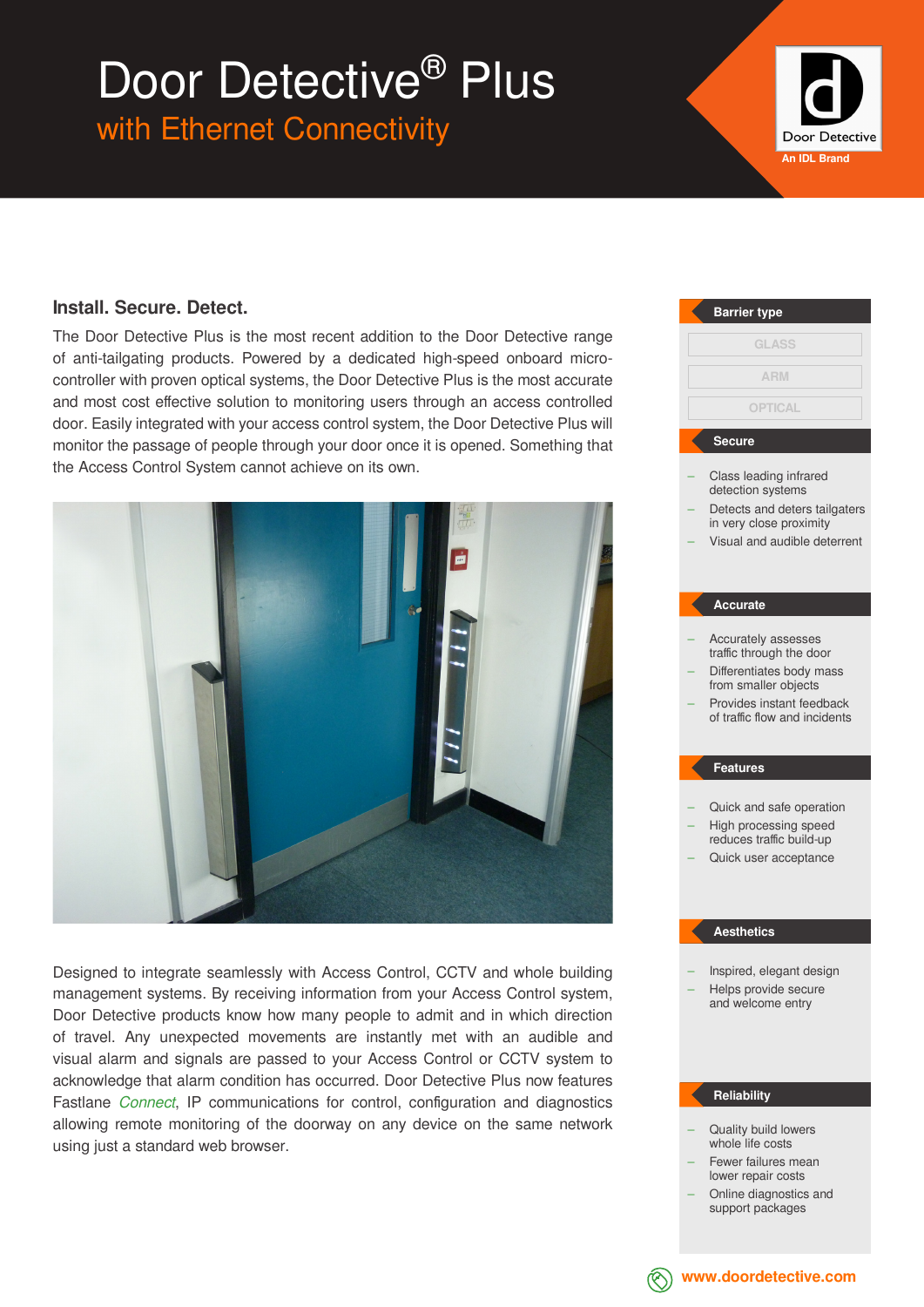## Door Detective® Plus

with Ethernet Connectivity



### **Install. Secure. Detect.**

The Door Detective Plus is the most recent addition to the Door Detective range of anti-tailgating products. Powered by a dedicated high-speed onboard microcontroller with proven optical systems, the Door Detective Plus is the most accurate and most cost effective solution to monitoring users through an access controlled door. Easily integrated with your access control system, the Door Detective Plus will monitor the passage of people through your door once it is opened. Something that the Access Control System cannot achieve on its own.



Designed to integrate seamlessly with Access Control, CCTV and whole building management systems. By receiving information from your Access Control system, Door Detective products know how many people to admit and in which direction of travel. Any unexpected movements are instantly met with an audible and visual alarm and signals are passed to your Access Control or CCTV system to acknowledge that alarm condition has occurred. Door Detective Plus now features Fastlane *Connect*, IP communications for control, configuration and diagnostics allowing remote monitoring of the doorway on any device on the same network using just a standard web browser.

## Class leading infrared detection systems Detects and deters tailgaters in very close proximity – Visual and audible deterrent – Accurately assesses traffic through the door – Differentiates body mass from smaller objects – Provides instant feedback of traffic flow and incidents – Quick and safe operation – High processing speed reduces traffic build-up – Quick user acceptance – Inspired, elegant design – Helps provide secure and welcome entry – Quality build lowers **Barrier type Secure Accurate Features Reliability Aesthetics GLASS OPTICAL ARM**

- whole life costs Fewer failures mean
- lower repair costs
- Online diagnostics and support packages



**www.doordetective.com**